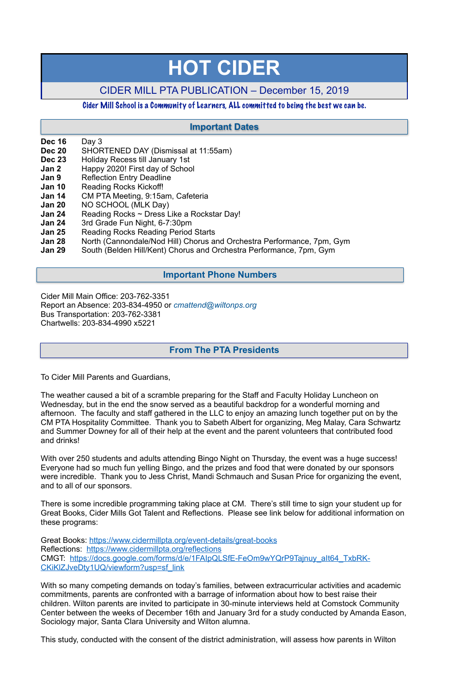- **Dec 16** Day 3
- **Dec 20** SHORTENED DAY (Dismissal at 11:55am)
- **Dec 23** Holiday Recess till January 1st
- **Jan 2** Happy 2020! First day of School
- **Jan 9** Reflection Entry Deadline
- **Jan 10** Reading Rocks Kickoff!
- **Jan 14** CM PTA Meeting, 9:15am, Cafeteria
- **Jan 20** NO SCHOOL (MLK Day)
- **Jan 24** •• Reading Rocks ~ Dress Like a Rockstar Day!
- **Jan 24** 3rd Grade Fun Night, 6-7:30pm
- **Jan 25** Reading Rocks Reading Period Starts
- **Jan 28** North (Cannondale/Nod Hill) Chorus and Orchestra Performance, 7pm, Gym
- **Jan 29** South (Belden Hill/Kent) Chorus and Orchestra Performance, 7pm, Gym

Cider Mill Main Office: 203-762-3351 Report an Absence: 203-834-4950 or *[cmattend@wiltonps.org](mailto:fallonk@wiltonps.org)* Bus Transportation: 203-762-3381 Chartwells: 203-834-4990 x5221

To Cider Mill Parents and Guardians,

The weather caused a bit of a scramble preparing for the Staff and Faculty Holiday Luncheon on Wednesday, but in the end the snow served as a beautiful backdrop for a wonderful morning and afternoon. The faculty and staff gathered in the LLC to enjoy an amazing lunch together put on by the CM PTA Hospitality Committee. Thank you to Sabeth Albert for organizing, Meg Malay, Cara Schwartz and Summer Downey for all of their help at the event and the parent volunteers that contributed food and drinks!

With over 250 students and adults attending Bingo Night on Thursday, the event was a huge success! Everyone had so much fun yelling Bingo, and the prizes and food that were donated by our sponsors were incredible. Thank you to Jess Christ, Mandi Schmauch and Susan Price for organizing the event, and to all of our sponsors.

There is some incredible programming taking place at CM. There's still time to sign your student up for Great Books, Cider Mills Got Talent and Reflections. Please see link below for additional information on these programs:

Great Books: <https://www.cidermillpta.org/event-details/great-books> Reflections: <https://www.cidermillpta.org/reflections> CMGT: [https://docs.google.com/forms/d/e/1FAIpQLSfE-FeOm9wYQrP9Tajnuy\\_aIt64\\_TxbRK-](https://docs.google.com/forms/d/e/1FAIpQLSfE-FeOm9wYQrP9Tajnuy_aIt64_TxbRK-CKiKlZJveDty1UQ/viewform?usp=sf_link)[CKiKlZJveDty1UQ/viewform?usp=sf\\_link](https://docs.google.com/forms/d/e/1FAIpQLSfE-FeOm9wYQrP9Tajnuy_aIt64_TxbRK-CKiKlZJveDty1UQ/viewform?usp=sf_link)

With so many competing demands on today's families, between extracurricular activities and academic commitments, parents are confronted with a barrage of information about how to best raise their children. Wilton parents are invited to participate in 30-minute interviews held at Comstock Community Center between the weeks of December 16th and January 3rd for a study conducted by Amanda Eason, Sociology major, Santa Clara University and Wilton alumna.

This study, conducted with the consent of the district administration, will assess how parents in Wilton

# **HOT CIDER**

# CIDER MILL PTA PUBLICATION – December 15, 2019

## Cider Mill School is a Community of Learners, ALL committed to being the best we can be.

# **From The PTA Presidents**

## **Important Dates**

## **Important Phone Numbers**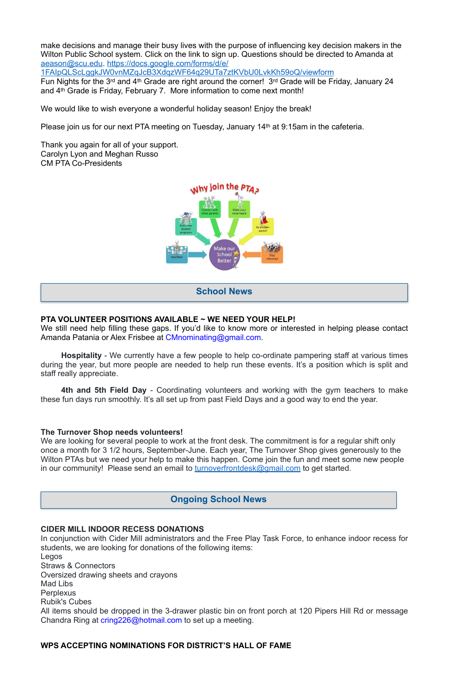make decisions and manage their busy lives with the purpose of influencing key decision makers in the Wilton Public School system. Click on the link to sign up. Questions should be directed to Amanda at [aeason@scu.edu](mailto:aeason@scu.edu). [https://docs.google.com/forms/d/e/](https://docs.google.com/forms/d/e/1FAIpQLScLggkJW0vnMZqJcB3XdqzWF64q29UTa7ztKVbU0LvkKh59oQ/viewform)

[1FAIpQLScLggkJW0vnMZqJcB3XdqzWF64q29UTa7ztKVbU0LvkKh59oQ/viewform](https://docs.google.com/forms/d/e/1FAIpQLScLggkJW0vnMZqJcB3XdqzWF64q29UTa7ztKVbU0LvkKh59oQ/viewform)

Fun Nights for the 3rd and 4th Grade are right around the corner! 3rd Grade will be Friday, January 24 and 4th Grade is Friday, February 7. More information to come next month!

We would like to wish everyone a wonderful holiday season! Enjoy the break!

Please join us for our next PTA meeting on Tuesday, January 14<sup>th</sup> at 9:15am in the cafeteria.

Thank you again for all of your support. Carolyn Lyon and Meghan Russo CM PTA Co-Presidents



### **PTA VOLUNTEER POSITIONS AVAILABLE ~ WE NEED YOUR HELP!**

We still need help filling these gaps. If you'd like to know more or interested in helping please contact Amanda Patania or Alex Frisbee at [CMnominating@gmail.com](mailto:CMnominating@gmail.com).

**Hospitality** - We currently have a few people to help co-ordinate pampering staff at various times during the year, but more people are needed to help run these events. It's a position which is split and staff really appreciate.

**4th and 5th Field Day** - Coordinating volunteers and working with the gym teachers to make these fun days run smoothly. It's all set up from past Field Days and a good way to end the year.

#### **The Turnover Shop needs volunteers!**

We are looking for several people to work at the front desk. The commitment is for a regular shift only once a month for 3 1/2 hours, September-June. Each year, The Turnover Shop gives generously to the Wilton PTAs but we need your help to make this happen. Come join the fun and meet some new people in our community! Please send an email to **turnoverfrontdesk@gmail.com** to get started.

#### **CIDER MILL INDOOR RECESS DONATIONS**

In conjunction with Cider Mill administrators and the Free Play Task Force, to enhance indoor recess for students, we are looking for donations of the following items:

Legos

Straws & Connectors

Oversized drawing sheets and crayons

Mad Libs

**Perplexus** 

Rubik's Cubes

All items should be dropped in the 3-drawer plastic bin on front porch at 120 Pipers Hill Rd or message Chandra Ring at [cring226@hotmail.com](mailto:cring226@hotmail.com) to set up a meeting.

#### **WPS ACCEPTING NOMINATIONS FOR DISTRICT'S HALL OF FAME**

**School News**

# **Ongoing School News**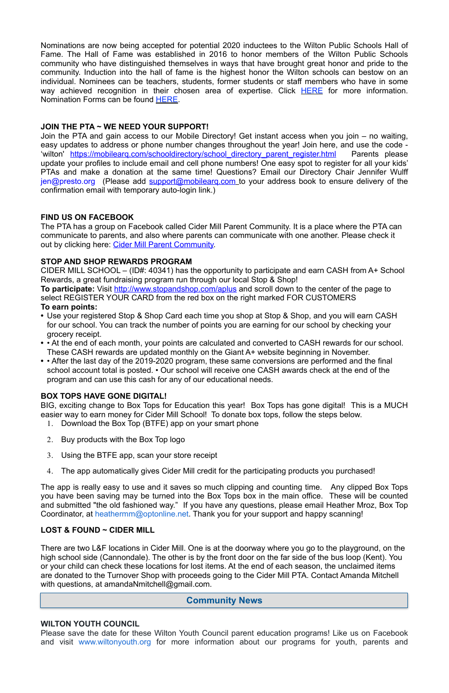Nominations are now being accepted for potential 2020 inductees to the Wilton Public Schools Hall of Fame. The Hall of Fame was established in 2016 to honor members of the Wilton Public Schools community who have distinguished themselves in ways that have brought great honor and pride to the community. Induction into the hall of fame is the highest honor the Wilton schools can bestow on an individual. Nominees can be teachers, students, former students or staff members who have in some way achieved recognition in their chosen area of expertise. Click **HERE** for more information. Nomination Forms can be found **HERE**.

## **JOIN THE PTA ~ WE NEED YOUR SUPPORT!**

The PTA has a group on Facebook called Cider Mill Parent Community. It is a place where the PTA can communicate to parents, and also where parents can communicate with one another. Please check it out by clicking here: [Cider Mill Parent Community.](https://www.facebook.com/groups/1168962513117647/)

Join the PTA and gain access to our Mobile Directory! Get instant access when you join – no waiting, easy updates to address or phone number changes throughout the year! Join here, and use the code 'wilton' [https://mobilearq.com/schooldirectory/school\\_directory\\_parent\\_register.html](https://mobilearq.com/schooldirectory/school_directory_parent_register.html) Parents please update your profiles to include email and cell phone numbers! One easy spot to register for all your kids' PTAs and make a donation at the same time! Questions? Email our Directory Chair Jennifer Wulff [jen@presto.org](mailto:jen@presto.org) (Please add support@mobilearg.com to your address book to ensure delivery of the confirmation email with temporary auto-login link.)

### **FIND US ON FACEBOOK**

## **STOP AND SHOP REWARDS PROGRAM**

CIDER MILL SCHOOL – (ID#: 40341) has the opportunity to participate and earn CASH from A+ School Rewards, a great fundraising program run through our local Stop & Shop!

There are two L&F locations in Cider Mill. One is at the doorway where you go to the playground, on the high school side (Cannondale). The other is by the front door on the far side of the bus loop (Kent). You or your child can check these locations for lost items. At the end of each season, the unclaimed items are donated to the Turnover Shop with proceeds going to the Cider Mill PTA. Contact Amanda Mitchell with questions, at amandaNmitchell@gmail.com.

**To participate:** Visit<http://www.stopandshop.com/aplus>and scroll down to the center of the page to select REGISTER YOUR CARD from the red box on the right marked FOR CUSTOMERS **To earn points:**

- **•** Use your registered Stop & Shop Card each time you shop at Stop & Shop, and you will earn CASH for our school. You can track the number of points you are earning for our school by checking your grocery receipt.
- **•** At the end of each month, your points are calculated and converted to CASH rewards for our school. These CASH rewards are updated monthly on the Giant A+ website beginning in November.
- **•** After the last day of the 2019-2020 program, these same conversions are performed and the final school account total is posted. • Our school will receive one CASH awards check at the end of the program and can use this cash for any of our educational needs.

## **BOX TOPS HAVE GONE DIGITAL!**

BIG, exciting change to Box Tops for Education this year! Box Tops has gone digital! This is a MUCH easier way to earn money for Cider Mill School! To donate box tops, follow the steps below.

- 1. Download the Box Top (BTFE) app on your smart phone
- 2. Buy products with the Box Top logo
- 3. Using the BTFE app, scan your store receipt
- 4. The app automatically gives Cider Mill credit for the participating products you purchased!

The app is really easy to use and it saves so much clipping and counting time. Any clipped Box Tops you have been saving may be turned into the Box Tops box in the main office. These will be counted and submitted "the old fashioned way." If you have any questions, please email Heather Mroz, Box Top

Coordinator, at [heathermm@optonline.net.](mailto:heathermm@optonline.net) Thank you for your support and happy scanning!

#### **LOST & FOUND ~ CIDER MILL**

#### **WILTON YOUTH COUNCIL**

Please save the date for these Wilton Youth Council parent education programs! Like us on Facebook and visit [www.wiltonyouth.org](http://www.wiltonyouth.org/) for more information about our programs for youth, parents and

## **Community News**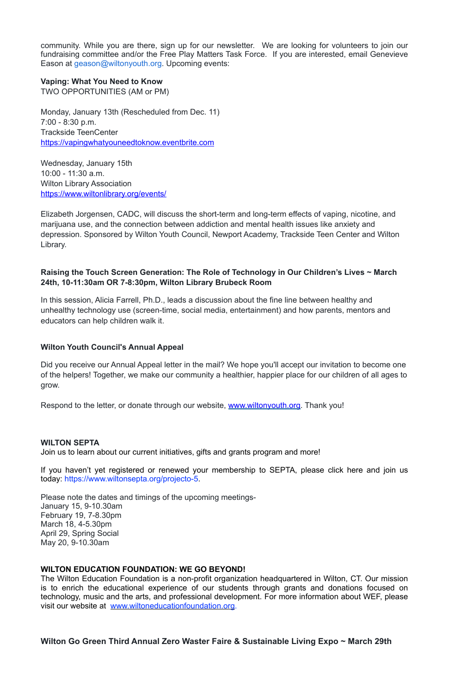community. While you are there, sign up for our newsletter. We are looking for volunteers to join our fundraising committee and/or the Free Play Matters Task Force. If you are interested, email Genevieve Eason at [geason@wiltonyouth.org](mailto:geason@wiltonyouth.org). Upcoming events:

#### **Vaping: What You Need to Know**

TWO OPPORTUNITIES (AM or PM)

Monday, January 13th (Rescheduled from Dec. 11) 7:00 - 8:30 p.m. Trackside TeenCenter [https://vapingwhatyouneedtoknow.eventbrite.com](https://vapingwhatyouneedtoknow.eventbrite.com/) 

Wednesday, January 15th 10:00 - 11:30 a.m. Wilton Library Association <https://www.wiltonlibrary.org/events/>

Elizabeth Jorgensen, CADC, will discuss the short-term and long-term effects of vaping, nicotine, and marijuana use, and the connection between addiction and mental health issues like anxiety and depression. Sponsored by Wilton Youth Council, Newport Academy, Trackside Teen Center and Wilton Library.

## **Raising the Touch Screen Generation: The Role of Technology in Our Children's Lives ~ March 24th, 10-11:30am OR 7-8:30pm, Wilton Library Brubeck Room**

In this session, Alicia Farrell, Ph.D., leads a discussion about the fine line between healthy and unhealthy technology use (screen-time, social media, entertainment) and how parents, mentors and educators can help children walk it.

### **Wilton Youth Council's Annual Appeal**

Did you receive our Annual Appeal letter in the mail? We hope you'll accept our invitation to become one of the helpers! Together, we make our community a healthier, happier place for our children of all ages to grow.

Respond to the letter, or donate through our website, [www.wiltonyouth.org](http://www.wiltonyouth.org/). Thank you!

#### **WILTON SEPTA**

Join us to learn about our current initiatives, gifts and grants program and more!

If you haven't yet registered or renewed your membership to SEPTA, please click here and join us today: [https://www.wiltonsepta.org/projecto-5.](https://www.wiltonsepta.org/projecto-5)

Please note the dates and timings of the upcoming meetings-January 15, 9-10.30am

February 19, 7-8.30pm March 18, 4-5.30pm April 29, Spring Social May 20, 9-10.30am

#### **WILTON EDUCATION FOUNDATION: WE GO BEYOND!**

The Wilton Education Foundation is a non-profit organization headquartered in Wilton, CT. Our mission is to enrich the educational experience of our students through grants and donations focused on technology, music and the arts, and professional development. For more information about WEF, please visit our website at [www.wiltoneducationfoundation.org](http://www.wiltoneducationfoundation.org/).

**Wilton Go Green Third Annual Zero Waster Faire & Sustainable Living Expo ~ March 29th**